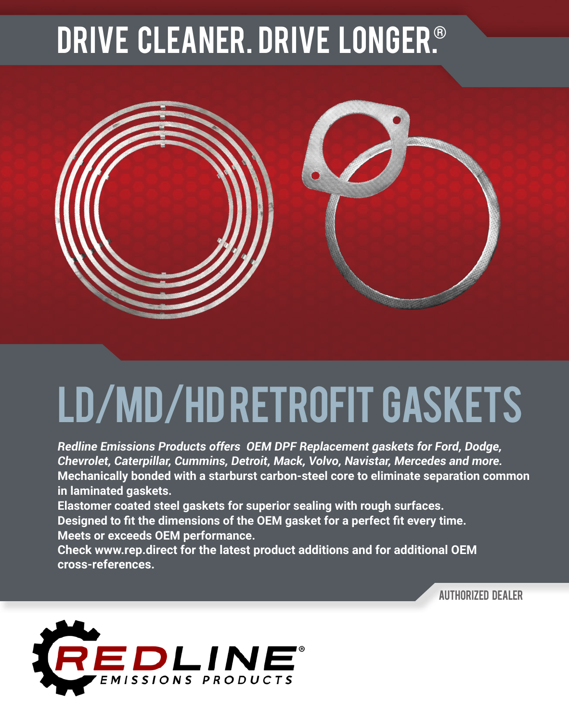## DRIVE CLEANER. Drive longER.®



## ld/md/hd retrofit Gaskets

*Redline Emissions Products offers OEM DPF Replacement gaskets for Ford, Dodge, Chevrolet, Caterpillar, Cummins, Detroit, Mack, Volvo, Navistar, Mercedes and more.*  **Mechanically bonded with a starburst carbon-steel core to eliminate separation common in laminated gaskets.**

**Elastomer coated steel gaskets for superior sealing with rough surfaces.**

**Designed to fit the dimensions of the OEM gasket for a perfect fit every time. Meets or exceeds OEM performance.**

**Check www.rep.direct for the latest product additions and for additional OEM cross-references.**

**AUTHORIZED DEALER**